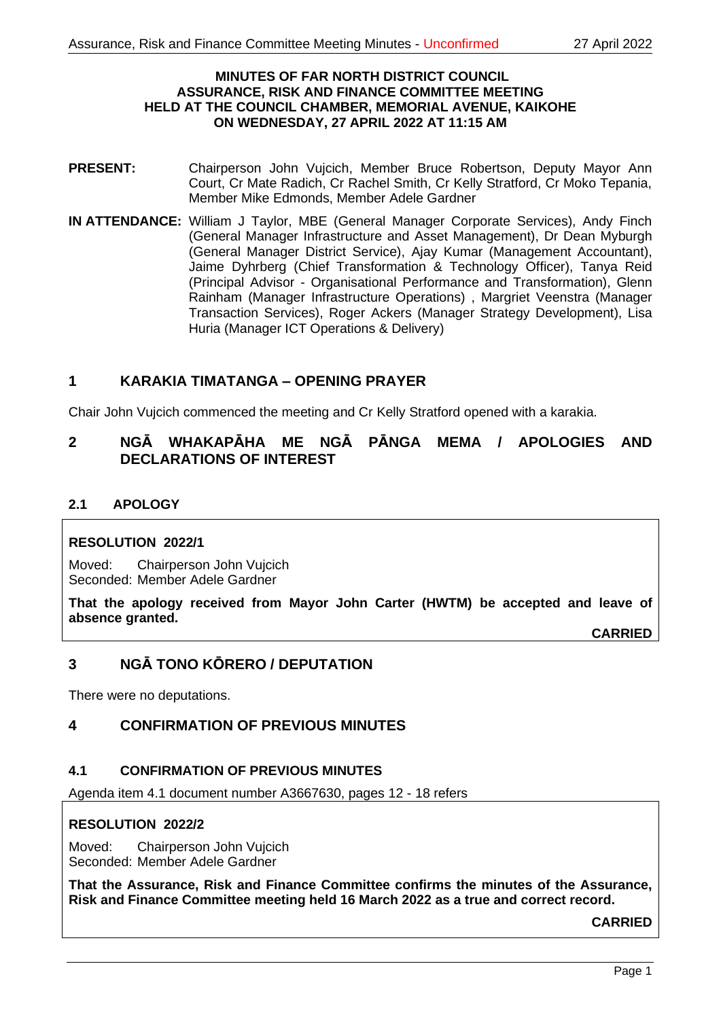#### **MINUTES OF FAR NORTH DISTRICT COUNCIL ASSURANCE, RISK AND FINANCE COMMITTEE MEETING HELD AT THE COUNCIL CHAMBER, MEMORIAL AVENUE, KAIKOHE ON WEDNESDAY, 27 APRIL 2022 AT 11:15 AM**

- **PRESENT:** Chairperson John Vujcich, Member Bruce Robertson, Deputy Mayor Ann Court, Cr Mate Radich, Cr Rachel Smith, Cr Kelly Stratford, Cr Moko Tepania, Member Mike Edmonds, Member Adele Gardner
- **IN ATTENDANCE:** William J Taylor, MBE (General Manager Corporate Services), Andy Finch (General Manager Infrastructure and Asset Management), Dr Dean Myburgh (General Manager District Service), Ajay Kumar (Management Accountant), Jaime Dyhrberg (Chief Transformation & Technology Officer), Tanya Reid (Principal Advisor - Organisational Performance and Transformation), Glenn Rainham (Manager Infrastructure Operations) , Margriet Veenstra (Manager Transaction Services), Roger Ackers (Manager Strategy Development), Lisa Huria (Manager ICT Operations & Delivery)

## **1 KARAKIA TIMATANGA – OPENING PRAYER**

Chair John Vujcich commenced the meeting and Cr Kelly Stratford opened with a karakia.

# **2 NGĀ WHAKAPĀHA ME NGĀ PĀNGA MEMA / APOLOGIES AND DECLARATIONS OF INTEREST**

## **2.1 APOLOGY**

#### **RESOLUTION 2022/1**

Moved: Chairperson John Vujcich Seconded: Member Adele Gardner

**That the apology received from Mayor John Carter (HWTM) be accepted and leave of absence granted.**

**CARRIED**

# **3 NGĀ TONO KŌRERO / DEPUTATION**

There were no deputations.

## **4 CONFIRMATION OF PREVIOUS MINUTES**

#### **4.1 CONFIRMATION OF PREVIOUS MINUTES**

Agenda item 4.1 document number A3667630, pages 12 - 18 refers

#### **RESOLUTION 2022/2**

Moved: Chairperson John Vujcich Seconded: Member Adele Gardner

**That the Assurance, Risk and Finance Committee confirms the minutes of the Assurance, Risk and Finance Committee meeting held 16 March 2022 as a true and correct record.**

**CARRIED**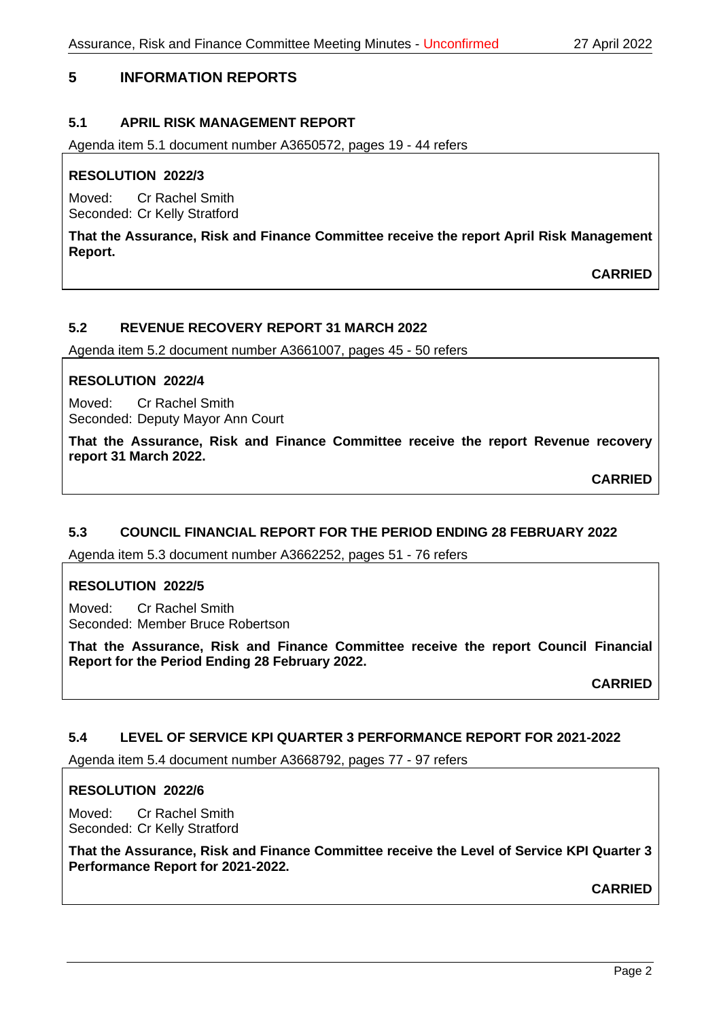# **5 INFORMATION REPORTS**

## **5.1 APRIL RISK MANAGEMENT REPORT**

Agenda item 5.1 document number A3650572, pages 19 - 44 refers

## **RESOLUTION 2022/3**

Moved: Cr Rachel Smith Seconded: Cr Kelly Stratford

**That the Assurance, Risk and Finance Committee receive the report April Risk Management Report.**

**CARRIED**

## **5.2 REVENUE RECOVERY REPORT 31 MARCH 2022**

Agenda item 5.2 document number A3661007, pages 45 - 50 refers

#### **RESOLUTION 2022/4**

Moved: Cr Rachel Smith Seconded: Deputy Mayor Ann Court

**That the Assurance, Risk and Finance Committee receive the report Revenue recovery report 31 March 2022.**

**CARRIED**

## **5.3 COUNCIL FINANCIAL REPORT FOR THE PERIOD ENDING 28 FEBRUARY 2022**

Agenda item 5.3 document number A3662252, pages 51 - 76 refers

#### **RESOLUTION 2022/5**

Moved: Cr Rachel Smith Seconded: Member Bruce Robertson

**That the Assurance, Risk and Finance Committee receive the report Council Financial Report for the Period Ending 28 February 2022.**

**CARRIED**

#### **5.4 LEVEL OF SERVICE KPI QUARTER 3 PERFORMANCE REPORT FOR 2021-2022**

Agenda item 5.4 document number A3668792, pages 77 - 97 refers

#### **RESOLUTION 2022/6**

Moved: Cr Rachel Smith Seconded: Cr Kelly Stratford

**That the Assurance, Risk and Finance Committee receive the Level of Service KPI Quarter 3 Performance Report for 2021-2022.**

**CARRIED**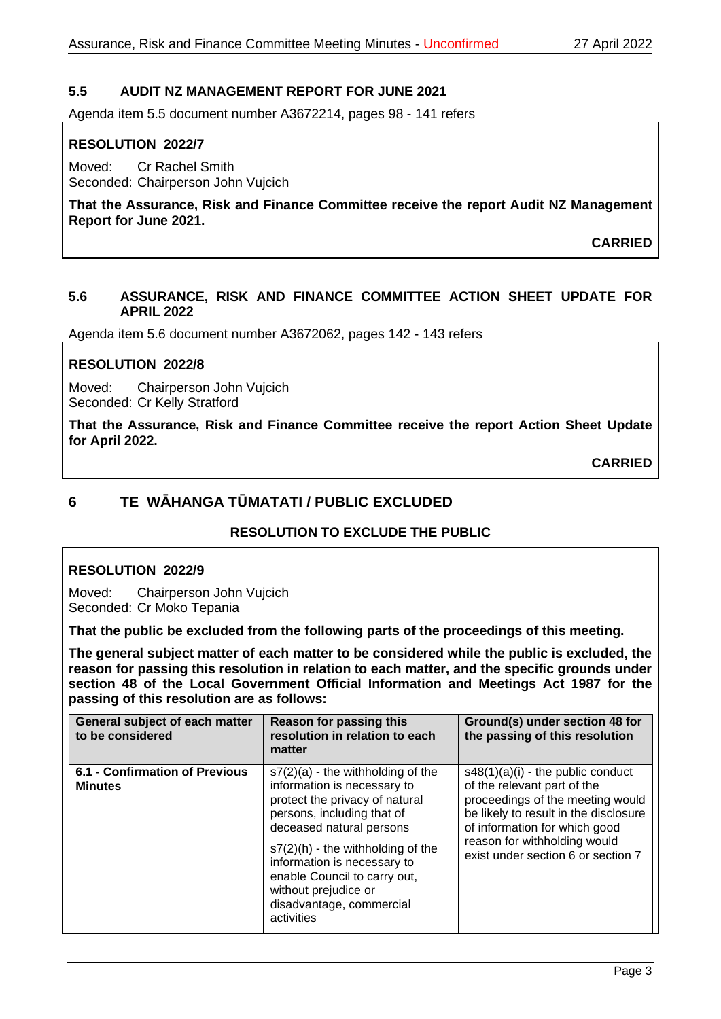## **5.5 AUDIT NZ MANAGEMENT REPORT FOR JUNE 2021**

Agenda item 5.5 document number A3672214, pages 98 - 141 refers

## **RESOLUTION 2022/7**

Moved: Cr Rachel Smith Seconded: Chairperson John Vujcich

**That the Assurance, Risk and Finance Committee receive the report Audit NZ Management Report for June 2021.**

**CARRIED**

#### **5.6 ASSURANCE, RISK AND FINANCE COMMITTEE ACTION SHEET UPDATE FOR APRIL 2022**

Agenda item 5.6 document number A3672062, pages 142 - 143 refers

## **RESOLUTION 2022/8**

Moved: Chairperson John Vujcich Seconded: Cr Kelly Stratford

**That the Assurance, Risk and Finance Committee receive the report Action Sheet Update for April 2022.**

**CARRIED**

# **6 TE WĀHANGA TŪMATATI / PUBLIC EXCLUDED**

# **RESOLUTION TO EXCLUDE THE PUBLIC**

## **RESOLUTION 2022/9**

Moved: Chairperson John Vujcich Seconded: Cr Moko Tepania

**That the public be excluded from the following parts of the proceedings of this meeting.**

**The general subject matter of each matter to be considered while the public is excluded, the reason for passing this resolution in relation to each matter, and the specific grounds under section 48 of the Local Government Official Information and Meetings Act 1987 for the passing of this resolution are as follows:**

| General subject of each matter<br>to be considered | <b>Reason for passing this</b><br>resolution in relation to each<br>matter                                                                                                                                                                                                                                                             | Ground(s) under section 48 for<br>the passing of this resolution                                                                                                                                                                                       |
|----------------------------------------------------|----------------------------------------------------------------------------------------------------------------------------------------------------------------------------------------------------------------------------------------------------------------------------------------------------------------------------------------|--------------------------------------------------------------------------------------------------------------------------------------------------------------------------------------------------------------------------------------------------------|
| 6.1 - Confirmation of Previous<br><b>Minutes</b>   | $s7(2)(a)$ - the withholding of the<br>information is necessary to<br>protect the privacy of natural<br>persons, including that of<br>deceased natural persons<br>$s7(2)(h)$ - the withholding of the<br>information is necessary to<br>enable Council to carry out,<br>without prejudice or<br>disadvantage, commercial<br>activities | $s48(1)(a)(i)$ - the public conduct<br>of the relevant part of the<br>proceedings of the meeting would<br>be likely to result in the disclosure<br>of information for which good<br>reason for withholding would<br>exist under section 6 or section 7 |